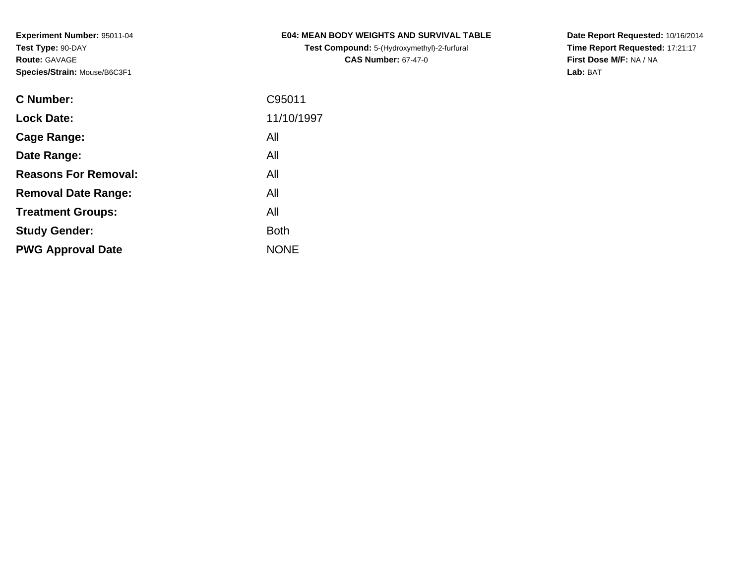**Experiment Number:** 95011-04**Test Type:** 90-DAY**Route:** GAVAGE**Species/Strain:** Mouse/B6C3F1

**Test Compound:** 5-(Hydroxymethyl)-2-furfural **CAS Number:** 67-47-0

**Date Report Requested:** 10/16/2014 **Time Report Requested:** 17:21:17**First Dose M/F:** NA / NA**Lab:** BAT

| <b>C</b> Number:            | C95011      |
|-----------------------------|-------------|
| <b>Lock Date:</b>           | 11/10/1997  |
| Cage Range:                 | All         |
| Date Range:                 | All         |
| <b>Reasons For Removal:</b> | All         |
| <b>Removal Date Range:</b>  | All         |
| <b>Treatment Groups:</b>    | All         |
| <b>Study Gender:</b>        | <b>Both</b> |
| <b>PWG Approval Date</b>    | <b>NONE</b> |
|                             |             |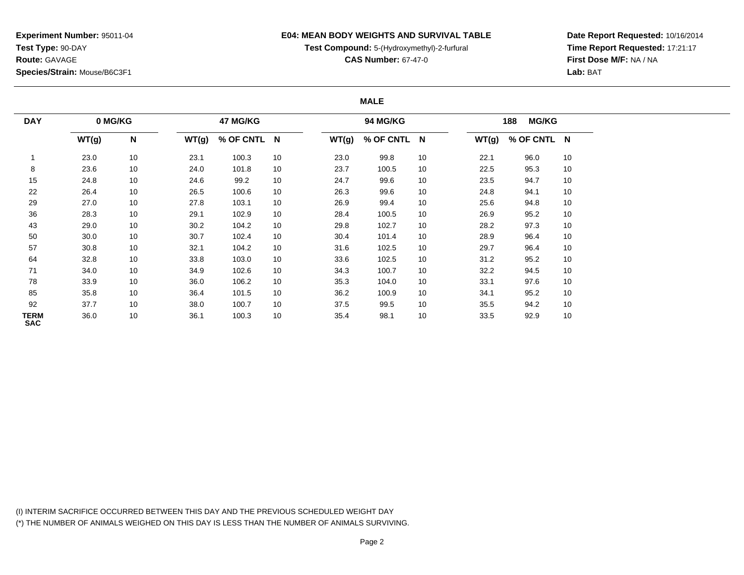**Experiment Number:** 95011-04**Test Type:** 90-DAY**Route:** GAVAGE**Species/Strain:** Mouse/B6C3F1

## **E04: MEAN BODY WEIGHTS AND SURVIVAL TABLE**

**Test Compound:** 5-(Hydroxymethyl)-2-furfural

**CAS Number:** 67-47-0

**Date Report Requested:** 10/16/2014**Time Report Requested:** 17:21:17**First Dose M/F:** NA / NA**Lab:** BAT

## **MALE**

| <b>DAY</b>                | 0 MG/KG |              |       | 47 MG/KG    |    |       | 94 MG/KG    |    |       | <b>MG/KG</b><br>188 |    |
|---------------------------|---------|--------------|-------|-------------|----|-------|-------------|----|-------|---------------------|----|
|                           | WT(g)   | $\mathsf{N}$ | WT(g) | % OF CNTL N |    | WT(g) | % OF CNTL N |    | WT(g) | % OF CNTL N         |    |
|                           | 23.0    | 10           | 23.1  | 100.3       | 10 | 23.0  | 99.8        | 10 | 22.1  | 96.0                | 10 |
| 8                         | 23.6    | 10           | 24.0  | 101.8       | 10 | 23.7  | 100.5       | 10 | 22.5  | 95.3                | 10 |
| 15                        | 24.8    | 10           | 24.6  | 99.2        | 10 | 24.7  | 99.6        | 10 | 23.5  | 94.7                | 10 |
| 22                        | 26.4    | 10           | 26.5  | 100.6       | 10 | 26.3  | 99.6        | 10 | 24.8  | 94.1                | 10 |
| 29                        | 27.0    | 10           | 27.8  | 103.1       | 10 | 26.9  | 99.4        | 10 | 25.6  | 94.8                | 10 |
| 36                        | 28.3    | 10           | 29.1  | 102.9       | 10 | 28.4  | 100.5       | 10 | 26.9  | 95.2                | 10 |
| 43                        | 29.0    | 10           | 30.2  | 104.2       | 10 | 29.8  | 102.7       | 10 | 28.2  | 97.3                | 10 |
| 50                        | 30.0    | 10           | 30.7  | 102.4       | 10 | 30.4  | 101.4       | 10 | 28.9  | 96.4                | 10 |
| 57                        | 30.8    | 10           | 32.1  | 104.2       | 10 | 31.6  | 102.5       | 10 | 29.7  | 96.4                | 10 |
| 64                        | 32.8    | 10           | 33.8  | 103.0       | 10 | 33.6  | 102.5       | 10 | 31.2  | 95.2                | 10 |
| 71                        | 34.0    | 10           | 34.9  | 102.6       | 10 | 34.3  | 100.7       | 10 | 32.2  | 94.5                | 10 |
| 78                        | 33.9    | 10           | 36.0  | 106.2       | 10 | 35.3  | 104.0       | 10 | 33.1  | 97.6                | 10 |
| 85                        | 35.8    | 10           | 36.4  | 101.5       | 10 | 36.2  | 100.9       | 10 | 34.1  | 95.2                | 10 |
| 92                        | 37.7    | 10           | 38.0  | 100.7       | 10 | 37.5  | 99.5        | 10 | 35.5  | 94.2                | 10 |
| <b>TERM</b><br><b>SAC</b> | 36.0    | 10           | 36.1  | 100.3       | 10 | 35.4  | 98.1        | 10 | 33.5  | 92.9                | 10 |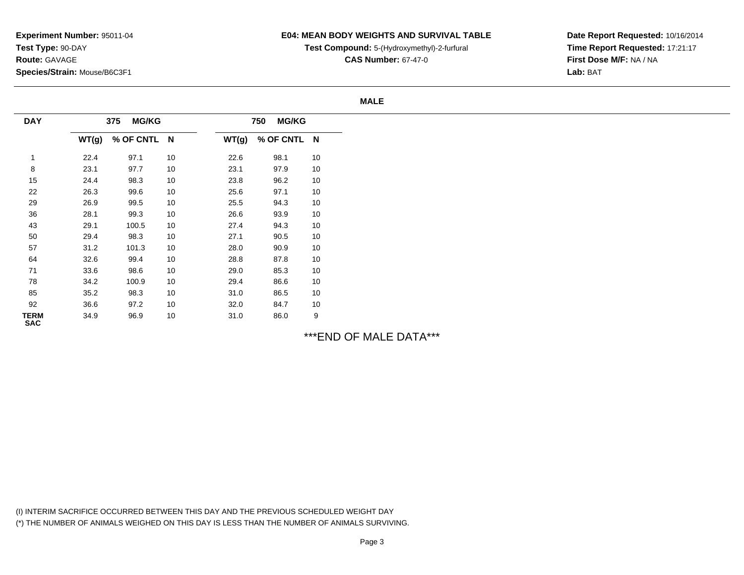# **E04: MEAN BODY WEIGHTS AND SURVIVAL TABLE**

**Test Compound:** 5-(Hydroxymethyl)-2-furfural

**CAS Number:** 67-47-0

**Date Report Requested:** 10/16/2014**Time Report Requested:** 17:21:17**First Dose M/F:** NA / NA**Lab:** BAT

#### **MALE**

| <b>DAY</b>         |       | <b>MG/KG</b><br>375 |    |       | <b>MG/KG</b><br>750 |    |
|--------------------|-------|---------------------|----|-------|---------------------|----|
|                    | WT(g) | % OF CNTL N         |    | WT(g) | % OF CNTL N         |    |
|                    | 22.4  | 97.1                | 10 | 22.6  | 98.1                | 10 |
| 8                  | 23.1  | 97.7                | 10 | 23.1  | 97.9                | 10 |
| 15                 | 24.4  | 98.3                | 10 | 23.8  | 96.2                | 10 |
| 22                 | 26.3  | 99.6                | 10 | 25.6  | 97.1                | 10 |
| 29                 | 26.9  | 99.5                | 10 | 25.5  | 94.3                | 10 |
| 36                 | 28.1  | 99.3                | 10 | 26.6  | 93.9                | 10 |
| 43                 | 29.1  | 100.5               | 10 | 27.4  | 94.3                | 10 |
| 50                 | 29.4  | 98.3                | 10 | 27.1  | 90.5                | 10 |
| 57                 | 31.2  | 101.3               | 10 | 28.0  | 90.9                | 10 |
| 64                 | 32.6  | 99.4                | 10 | 28.8  | 87.8                | 10 |
| 71                 | 33.6  | 98.6                | 10 | 29.0  | 85.3                | 10 |
| 78                 | 34.2  | 100.9               | 10 | 29.4  | 86.6                | 10 |
| 85                 | 35.2  | 98.3                | 10 | 31.0  | 86.5                | 10 |
| 92                 | 36.6  | 97.2                | 10 | 32.0  | 84.7                | 10 |
| TERM<br><b>SAC</b> | 34.9  | 96.9                | 10 | 31.0  | 86.0                | 9  |

\*\*\*END OF MALE DATA\*\*\*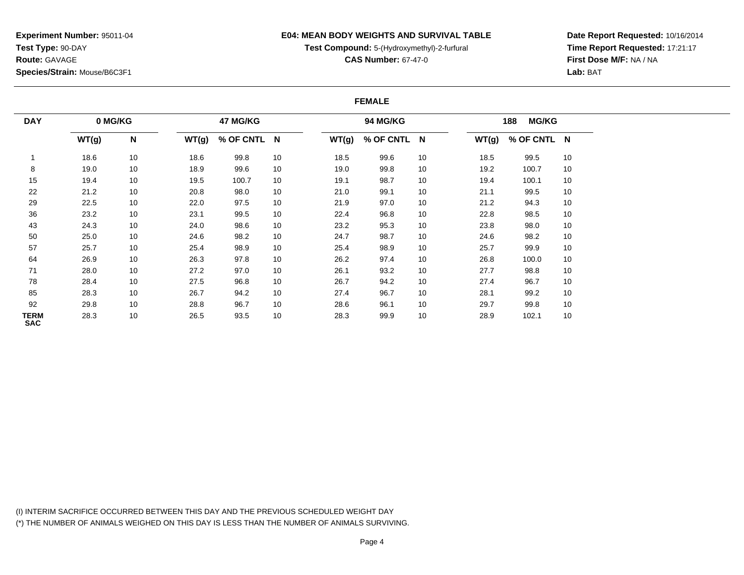**Experiment Number:** 95011-04**Test Type:** 90-DAY**Route:** GAVAGE**Species/Strain:** Mouse/B6C3F1

## **E04: MEAN BODY WEIGHTS AND SURVIVAL TABLE**

**Test Compound:** 5-(Hydroxymethyl)-2-furfural

**CAS Number:** 67-47-0

**Date Report Requested:** 10/16/2014**Time Report Requested:** 17:21:17**First Dose M/F:** NA / NA**Lab:** BAT

#### **FEMALE**

| <b>DAY</b>                | 0 MG/KG |              |       | 47 MG/KG    |    |       | 94 MG/KG    |    |       | <b>MG/KG</b><br>188 |    |
|---------------------------|---------|--------------|-------|-------------|----|-------|-------------|----|-------|---------------------|----|
|                           | WT(g)   | $\mathsf{N}$ | WT(g) | % OF CNTL N |    | WT(g) | % OF CNTL N |    | WT(g) | % OF CNTL N         |    |
|                           | 18.6    | 10           | 18.6  | 99.8        | 10 | 18.5  | 99.6        | 10 | 18.5  | 99.5                | 10 |
| 8                         | 19.0    | 10           | 18.9  | 99.6        | 10 | 19.0  | 99.8        | 10 | 19.2  | 100.7               | 10 |
| 15                        | 19.4    | 10           | 19.5  | 100.7       | 10 | 19.1  | 98.7        | 10 | 19.4  | 100.1               | 10 |
| 22                        | 21.2    | 10           | 20.8  | 98.0        | 10 | 21.0  | 99.1        | 10 | 21.1  | 99.5                | 10 |
| 29                        | 22.5    | 10           | 22.0  | 97.5        | 10 | 21.9  | 97.0        | 10 | 21.2  | 94.3                | 10 |
| 36                        | 23.2    | 10           | 23.1  | 99.5        | 10 | 22.4  | 96.8        | 10 | 22.8  | 98.5                | 10 |
| 43                        | 24.3    | 10           | 24.0  | 98.6        | 10 | 23.2  | 95.3        | 10 | 23.8  | 98.0                | 10 |
| 50                        | 25.0    | 10           | 24.6  | 98.2        | 10 | 24.7  | 98.7        | 10 | 24.6  | 98.2                | 10 |
| 57                        | 25.7    | 10           | 25.4  | 98.9        | 10 | 25.4  | 98.9        | 10 | 25.7  | 99.9                | 10 |
| 64                        | 26.9    | 10           | 26.3  | 97.8        | 10 | 26.2  | 97.4        | 10 | 26.8  | 100.0               | 10 |
| 71                        | 28.0    | 10           | 27.2  | 97.0        | 10 | 26.1  | 93.2        | 10 | 27.7  | 98.8                | 10 |
| 78                        | 28.4    | 10           | 27.5  | 96.8        | 10 | 26.7  | 94.2        | 10 | 27.4  | 96.7                | 10 |
| 85                        | 28.3    | 10           | 26.7  | 94.2        | 10 | 27.4  | 96.7        | 10 | 28.1  | 99.2                | 10 |
| 92                        | 29.8    | 10           | 28.8  | 96.7        | 10 | 28.6  | 96.1        | 10 | 29.7  | 99.8                | 10 |
| <b>TERM</b><br><b>SAC</b> | 28.3    | 10           | 26.5  | 93.5        | 10 | 28.3  | 99.9        | 10 | 28.9  | 102.1               | 10 |